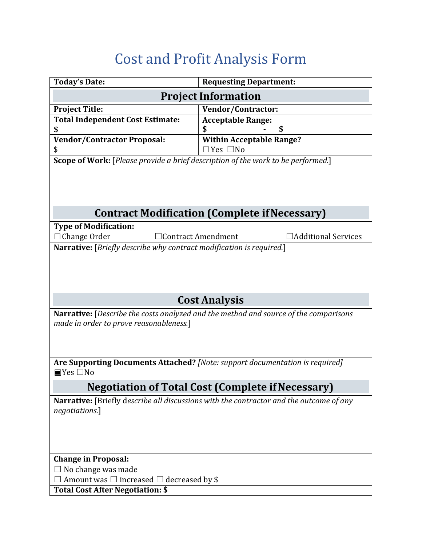## Cost and Profit Analysis Form

| <b>Today's Date:</b>                                                                    | <b>Requesting Department:</b>                                                |
|-----------------------------------------------------------------------------------------|------------------------------------------------------------------------------|
| <b>Project Information</b>                                                              |                                                                              |
| <b>Project Title:</b>                                                                   | Vendor/Contractor:                                                           |
| <b>Total Independent Cost Estimate:</b>                                                 | <b>Acceptable Range:</b>                                                     |
| \$                                                                                      | \$                                                                           |
| <b>Vendor/Contractor Proposal:</b>                                                      | <b>Within Acceptable Range?</b>                                              |
| \$                                                                                      | $\Box$ Yes $\Box$ No                                                         |
| Scope of Work: [Please provide a brief description of the work to be performed.]        |                                                                              |
|                                                                                         |                                                                              |
|                                                                                         |                                                                              |
| <b>Contract Modification (Complete if Necessary)</b>                                    |                                                                              |
| <b>Type of Modification:</b>                                                            |                                                                              |
| $\Box$ Change Order<br>Additional Services<br>$\Box$ Contract Amendment                 |                                                                              |
| <b>Narrative:</b> [Briefly describe why contract modification is required.]             |                                                                              |
|                                                                                         |                                                                              |
|                                                                                         |                                                                              |
|                                                                                         |                                                                              |
|                                                                                         |                                                                              |
| <b>Cost Analysis</b>                                                                    |                                                                              |
| Narrative: [Describe the costs analyzed and the method and source of the comparisons    |                                                                              |
| made in order to prove reasonableness.]                                                 |                                                                              |
|                                                                                         |                                                                              |
|                                                                                         |                                                                              |
|                                                                                         | Are Supporting Documents Attached? [Note: support documentation is required] |
| $\blacksquare$ Yes $\square$ No                                                         |                                                                              |
| <b>Negotiation of Total Cost (Complete if Necessary)</b>                                |                                                                              |
| Narrative: [Briefly describe all discussions with the contractor and the outcome of any |                                                                              |
| negotiations.]                                                                          |                                                                              |
|                                                                                         |                                                                              |
|                                                                                         |                                                                              |
|                                                                                         |                                                                              |
|                                                                                         |                                                                              |
| <b>Change in Proposal:</b>                                                              |                                                                              |
| $\Box$ No change was made                                                               |                                                                              |
| Amount was $\Box$ increased $\Box$ decreased by \$                                      |                                                                              |
| <b>Total Cost After Negotiation: \$</b>                                                 |                                                                              |
|                                                                                         |                                                                              |